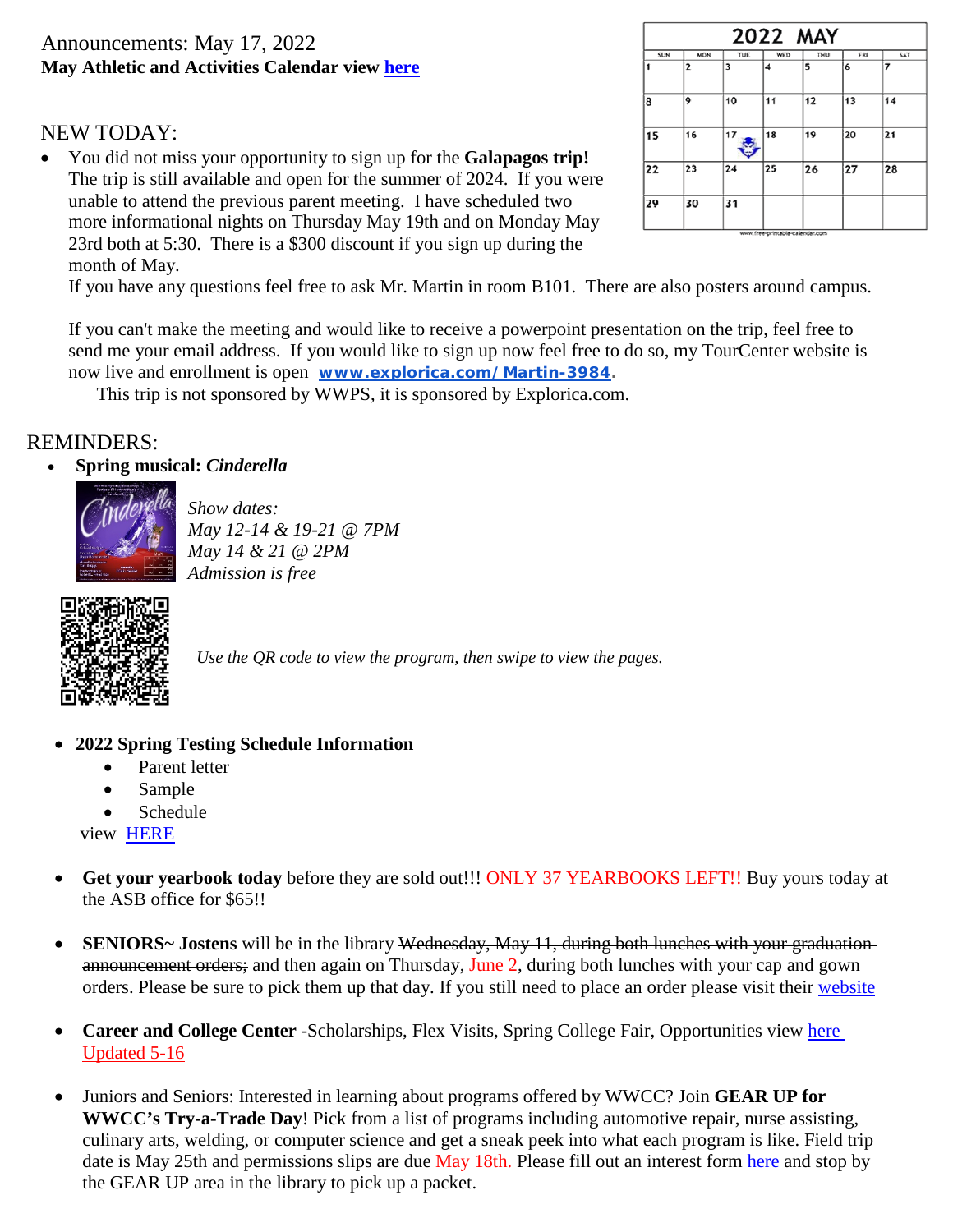# Announcements: May 17, 2022 **May Athletic and Activities Calendar view [here](https://docs.google.com/document/d/1pu7QjZzctwoXmNj3T7QMSUT-Ok_zRECNUTlcRefV8sc/edit)**

# NEW TODAY:

• You did not miss your opportunity to sign up for the **Galapagos trip!** The trip is still available and open for the summer of 2024. If you were unable to attend the previous parent meeting. I have scheduled two more informational nights on Thursday May 19th and on Monday May 23rd both at 5:30. There is a \$300 discount if you sign up during the month of May.



If you have any questions feel free to ask Mr. Martin in room B101. There are also posters around campus.

If you can't make the meeting and would like to receive a powerpoint presentation on the trip, feel free to send me your email address. If you would like to sign up now feel free to do so, my TourCenter website is now live and enrollment is open **[www.explorica.com/Martin-3984.](http://www.explorica.com/Martin-3984)**

This trip is not sponsored by WWPS, it is sponsored by Explorica.com.

## REMINDERS:

### • **Spring musical:** *Cinderella*



*Show dates: May 12-14 & 19-21 @ 7PM May 14 & 21 @ 2PM Admission is free*



*Use the QR code to view the program, then swipe to view the pages.*

- **2022 Spring Testing Schedule Information** 
	- Parent letter
	- Sample
	- Schedule

view [HERE](https://www.wahibluedevils.org/images/news/SBA_Testing_2022_Parent_Letter_5-10-22.pdf)

- **Get your yearbook today** before they are sold out!!! ONLY 37 YEARBOOKS LEFT!! Buy yours today at the ASB office for \$65!!
- **SENIORS**~ Jostens will be in the library Wednesday, May 11, during both lunches with your graduation announcement orders; and then again on Thursday, June 2, during both lunches with your cap and gown orders. Please be sure to pick them up that day. If you still need to place an order please visit their [website](https://www.jostens.com/)
- **Career and College Center** -Scholarships, Flex Visits, Spring College Fair, Opportunities view [here](https://www.wahibluedevils.org/images/Career__College_Center_5-16.pdf) Updated 5-16
- Juniors and Seniors: Interested in learning about programs offered by WWCC? Join **GEAR UP for WWCC's Try-a-Trade Day**! Pick from a list of programs including automotive repair, nurse assisting, culinary arts, welding, or computer science and get a sneak peek into what each program is like. Field trip date is May 25th and permissions slips are due May 18th. Please fill out an interest form [here](https://docs.google.com/forms/d/e/1FAIpQLSdHMiiY1NR1ndacbd1_AqbnMzakslp9DaaWkI0uQDOgKFzP_A/viewform) and stop by the GEAR UP area in the library to pick up a packet.